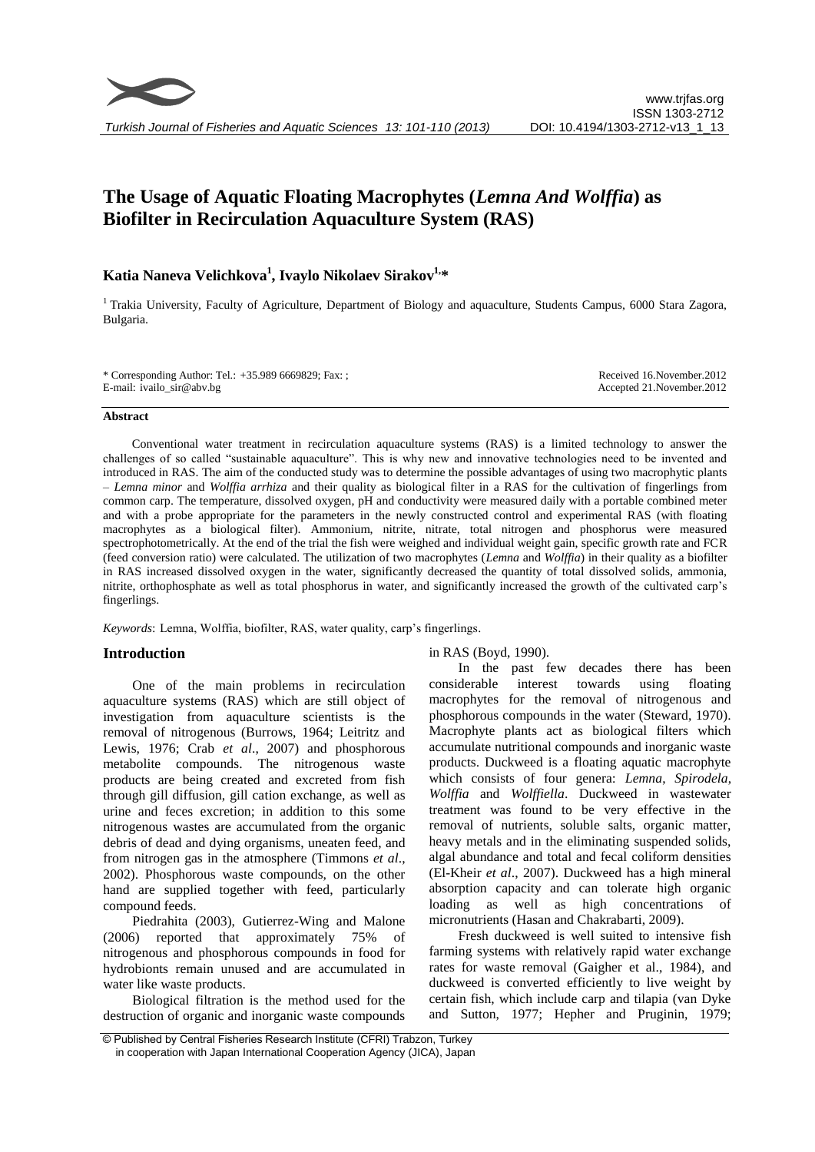# **The Usage of Aquatic Floating Macrophytes (***Lemna And Wolffia***) as Biofilter in Recirculation Aquaculture System (RAS)**

# **Katia Naneva Velichkova<sup>1</sup> , Ivaylo Nikolaev Sirakov1,\***

<sup>1</sup> Trakia University, Faculty of Agriculture, Department of Biology and aquaculture, Students Campus, 6000 Stara Zagora, Bulgaria.

\* Corresponding Author: Tel.: +35.989 6669829; Fax: ; E-mail: ivailo\_sir@abv.bg

Received 16.November.2012 Accepted 21.November.2012

#### **Abstract**

Conventional water treatment in recirculation aquaculture systems (RAS) is a limited technology to answer the challenges of so called "sustainable aquaculture". This is why new and innovative technologies need to be invented and introduced in RAS. The aim of the conducted study was to determine the possible advantages of using two macrophytic plants – *Lemna minor* and *Wolffia arrhiza* and their quality as biological filter in a RAS for the cultivation of fingerlings from common carp. The temperature, dissolved oxygen, pH and conductivity were measured daily with a portable combined meter and with a probe appropriate for the parameters in the newly constructed control and experimental RAS (with floating macrophytes as a biological filter). Ammonium, nitrite, nitrate, total nitrogen and phosphorus were measured spectrophotometrically. At the end of the trial the fish were weighed and individual weight gain, specific growth rate and FCR (feed conversion ratio) were calculated. The utilization of two macrophytes (*Lemna* and *Wolffia*) in their quality as a biofilter in RAS increased dissolved oxygen in the water, significantly decreased the quantity of total dissolved solids, ammonia, nitrite, orthophosphate as well as total phosphorus in water, and significantly increased the growth of the cultivated carp's fingerlings.

*Keywords*: Lemna, Wolffia, biofilter, RAS, water quality, carp's fingerlings.

# **Introduction**

One of the main problems in recirculation aquaculture systems (RAS) which are still object of investigation from aquaculture scientists is the removal of nitrogenous (Burrows, 1964; Leitritz and Lewis, 1976; Crab *et al*., 2007) and phosphorous metabolite compounds. The nitrogenous waste products are being created and excreted from fish through gill diffusion, gill cation exchange, as well as urine and feces excretion; in addition to this some nitrogenous wastes are accumulated from the organic debris of dead and dying organisms, uneaten feed, and from nitrogen gas in the atmosphere (Timmons *et al*., 2002). Phosphorous waste compounds, on the other hand are supplied together with feed, particularly compound feeds.

Piedrahita (2003), Gutierrez-Wing and Malone (2006) reported that approximately 75% of nitrogenous and phosphorous compounds in food for hydrobionts remain unused and are accumulated in water like waste products.

Biological filtration is the method used for the destruction of organic and inorganic waste compounds

in RAS (Boyd, 1990).

In the past few decades there has been considerable interest towards using floating macrophytes for the removal of nitrogenous and phosphorous compounds in the water (Steward, 1970). Macrophyte plants act as biological filters which accumulate nutritional compounds and inorganic waste products. Duckweed is a floating aquatic macrophyte which consists of four genera: *Lemna*, *Spirodela*, *Wolffia* and *Wolffiella*. Duckweed in wastewater treatment was found to be very effective in the removal of nutrients, soluble salts, organic matter, heavy metals and in the eliminating suspended solids, algal abundance and total and fecal coliform densities (El-Kheir *et al*., 2007). Duckweed has a high mineral absorption capacity and can tolerate high organic loading as well as high concentrations of micronutrients (Hasan and Chakrabarti, 2009).

Fresh duckweed is well suited to intensive fish farming systems with relatively rapid water exchange rates for waste removal (Gaigher et al., 1984), and duckweed is converted efficiently to live weight by certain fish, which include carp and tilapia (van Dyke and Sutton, 1977; Hepher and Pruginin, 1979;

<sup>©</sup> Published by Central Fisheries Research Institute (CFRI) Trabzon, Turkey in cooperation with Japan International Cooperation Agency (JICA), Japan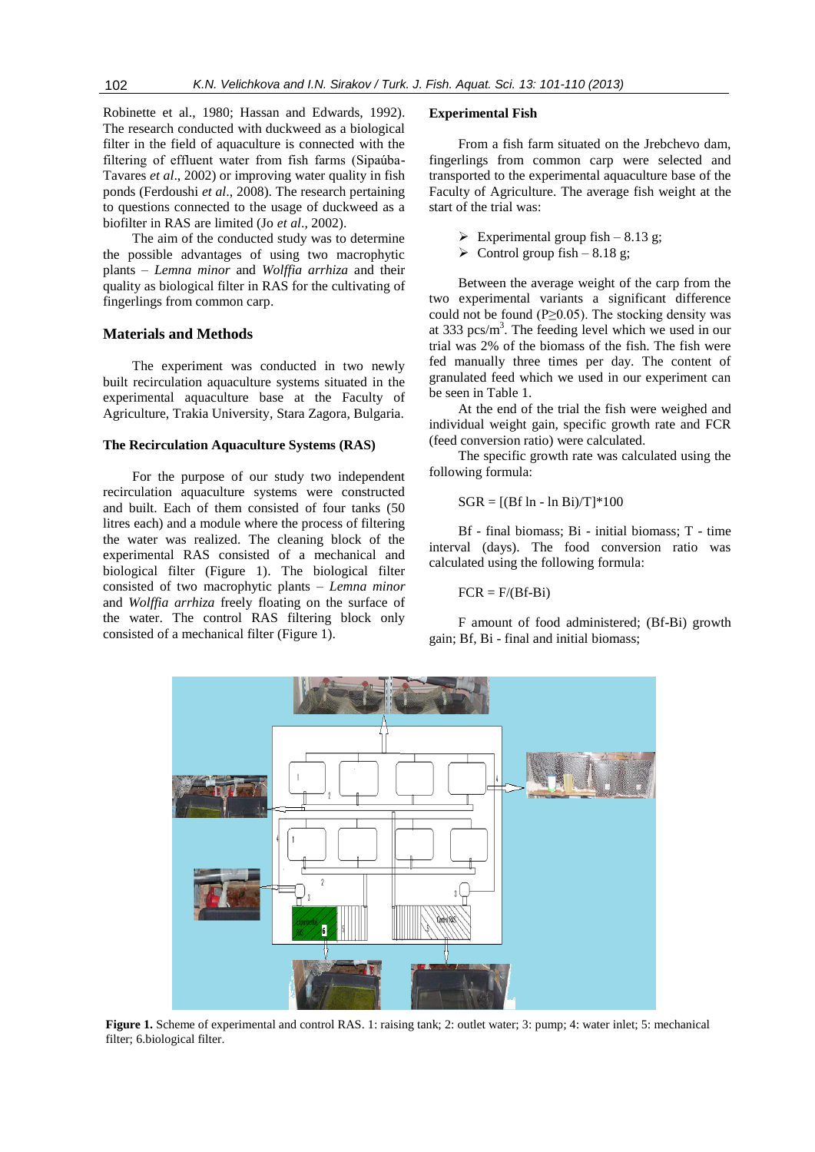Robinette et al., 1980; Hassan and Edwards, 1992). The research conducted with duckweed as a biological filter in the field of aquaculture is connected with the filtering of effluent water from fish farms (Sipaúba-Tavares *et al*., 2002) or improving water quality in fish ponds (Ferdoushi *et al*., 2008). The research pertaining to questions connected to the usage of duckweed as a biofilter in RAS are limited (Jo *et al*., 2002).

The aim of the conducted study was to determine the possible advantages of using two macrophytic plants – *Lemna minor* and *Wolffia arrhiza* and their quality as biological filter in RAS for the cultivating of fingerlings from common carp.

## **Materials and Methods**

The experiment was conducted in two newly built recirculation aquaculture systems situated in the experimental aquaculture base at the Faculty of Agriculture, Trakia University, Stara Zagora, Bulgaria.

#### **The Recirculation Aquaculture Systems (RAS)**

For the purpose of our study two independent recirculation aquaculture systems were constructed and built. Each of them consisted of four tanks (50 litres each) and a module where the process of filtering the water was realized. The cleaning block of the experimental RAS consisted of a mechanical and biological filter (Figure 1). The biological filter consisted of two macrophytic plants – *Lemna minor*  and *Wolffia arrhiza* freely floating on the surface of the water. The control RAS filtering block only consisted of a mechanical filter (Figure 1).

#### **Experimental Fish**

From a fish farm situated on the Jrebchevo dam, fingerlings from common carp were selected and transported to the experimental aquaculture base of the Faculty of Agriculture. The average fish weight at the start of the trial was:

- $\triangleright$  Experimental group fish 8.13 g;
- $\geq$  Control group fish 8.18 g;

Between the average weight of the carp from the two experimental variants a significant difference could not be found ( $P \ge 0.05$ ). The stocking density was at 333 pcs/ $m<sup>3</sup>$ . The feeding level which we used in our trial was 2% of the biomass of the fish. The fish were fed manually three times per day. The content of granulated feed which we used in our experiment can be seen in Table 1.

At the end of the trial the fish were weighed and individual weight gain, specific growth rate and FCR (feed conversion ratio) were calculated.

The specific growth rate was calculated using the following formula:

 $SGR = [(Bf ln - ln Bi)/T] * 100$ 

Bf - final biomass; Bi - initial biomass; T - time interval (days). The food conversion ratio was calculated using the following formula:

 $FCR = F/(Bf-Bi)$ 

F amount of food administered; (Bf-Bi) growth gain; Bf, Bi - final and initial biomass;



**Figure 1.** Scheme of experimental and control RAS. 1: raising tank; 2: outlet water; 3: pump; 4: water inlet; 5: mechanical filter; 6.biological filter.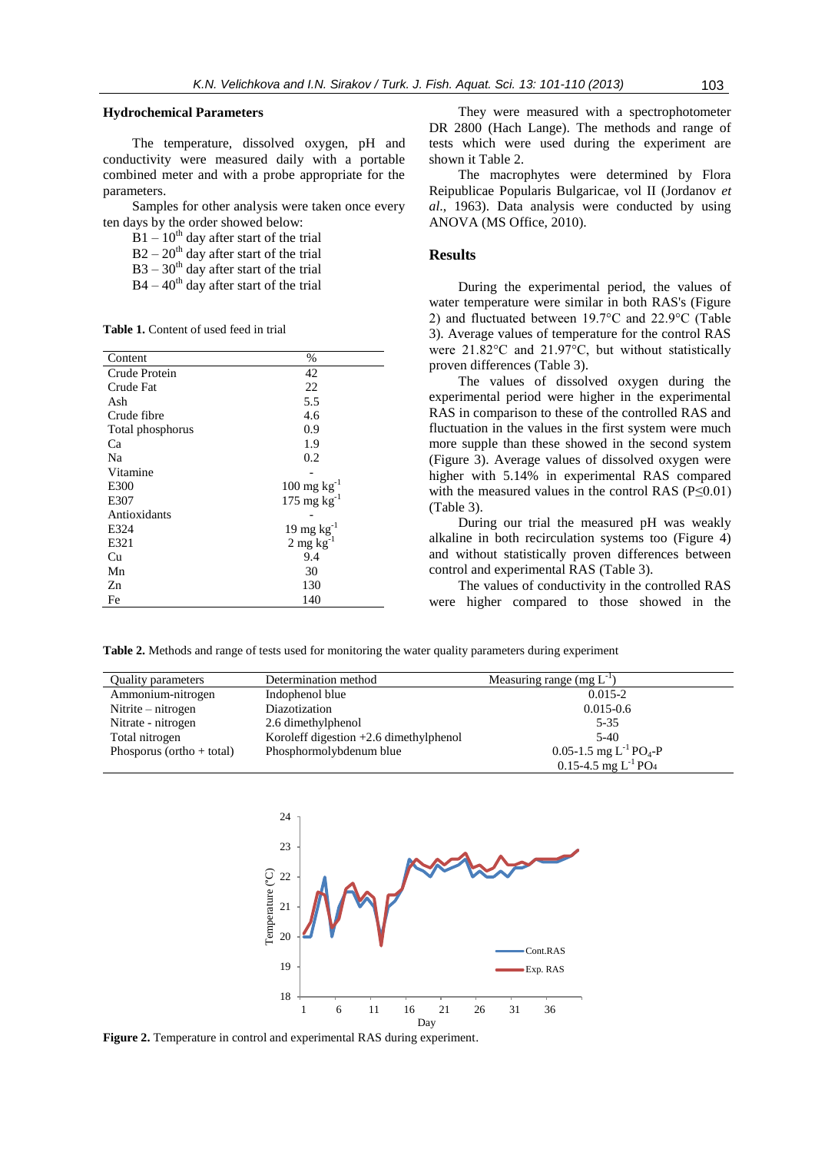# **Hydrochemical Parameters**

The temperature, dissolved oxygen, pH and conductivity were measured daily with a portable combined meter and with a probe appropriate for the parameters.

Samples for other analysis were taken once every ten days by the order showed below:

 $B1 - 10^{th}$  day after start of the trial

 $B2 - 20<sup>th</sup>$  day after start of the trial

 $B3 - 30<sup>th</sup>$  day after start of the trial

 $B4 - 40<sup>th</sup>$  day after start of the trial

**Table 1.** Content of used feed in trial

| Content          | %                        |
|------------------|--------------------------|
| Crude Protein    | 42                       |
| Crude Fat        | 22                       |
| Ash              | 5.5                      |
| Crude fibre      | 4.6                      |
| Total phosphorus | 0.9                      |
| Ca               | 1.9                      |
| Na               | 0.2                      |
| Vitamine         |                          |
| E300             | $100 \text{ mg kg}^{-1}$ |
| E307             | $175 \text{ mg kg}^{-1}$ |
| Antioxidants     |                          |
| E324             | $19 \text{ mg kg}^{-1}$  |
| E321             | $2$ mg $\text{kg}^{-1}$  |
| Cu               | 9.4                      |
| Mn               | 30                       |
| Zn               | 130                      |
| Fe               | 140                      |

They were measured with a spectrophotometer DR 2800 (Hach Lange). The methods and range of tests which were used during the experiment are shown it Table 2.

The macrophytes were determined by Flora Reipublicae Popularis Bulgaricae, vol II (Jordanov *et al*., 1963). Data analysis were conducted by using ANOVA (MS Office, 2010).

# **Results**

During the experimental period, the values of water temperature were similar in both RAS's (Figure 2) and fluctuated between 19.7°C and 22.9°C (Table 3). Average values of temperature for the control RAS were 21.82°C and 21.97°C, but without statistically proven differences (Table 3).

The values of dissolved oxygen during the experimental period were higher in the experimental RAS in comparison to these of the controlled RAS and fluctuation in the values in the first system were much more supple than these showed in the second system (Figure 3). Average values of dissolved oxygen were higher with 5.14% in experimental RAS compared with the measured values in the control RAS (P≤0.01) (Table 3).

During our trial the measured pH was weakly alkaline in both recirculation systems too (Figure 4) and without statistically proven differences between control and experimental RAS (Table 3).

The values of conductivity in the controlled RAS were higher compared to those showed in the

**Table 2.** Methods and range of tests used for monitoring the water quality parameters during experiment

| Quality parameters          | Determination method                   | Measuring range $(mg LT)$                      |
|-----------------------------|----------------------------------------|------------------------------------------------|
| Ammonium-nitrogen           | Indophenol blue                        | $0.015 - 2$                                    |
| Nitrite – nitrogen          | Diazotization                          | $0.015 - 0.6$                                  |
| Nitrate - nitrogen          | 2.6 dimethylphenol                     | $5 - 35$                                       |
| Total nitrogen              | Koroleff digestion +2.6 dimethylphenol | $5-40$                                         |
| Phosporus (ortho $+$ total) | Phosphormolybdenum blue                | 0.05-1.5 mg $L^{-1}$ PO <sub>4</sub> -P        |
|                             |                                        | $0.15$ -4.5 mg L <sup>-1</sup> PO <sub>4</sub> |



**Figure 2.** Temperature in control and experimental RAS during experiment.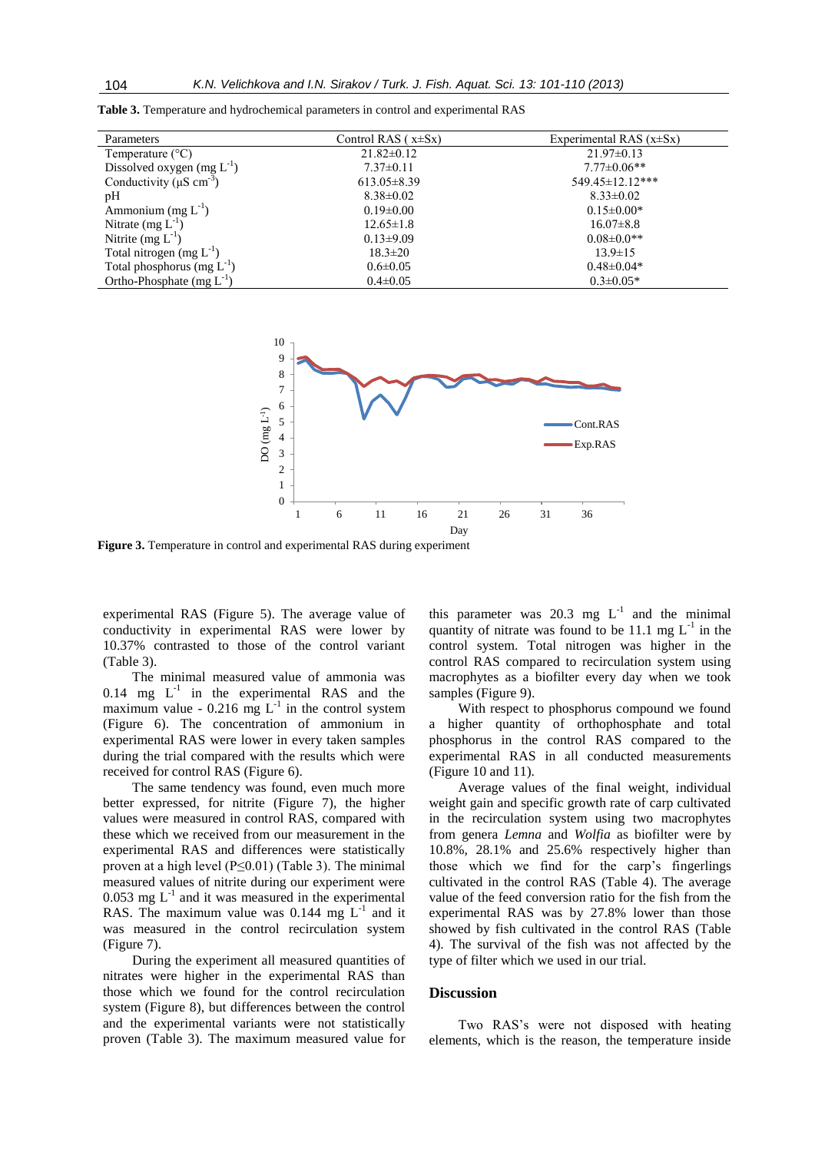| Parameters                                | Control RAS $(x\pm Sx)$ | Experimental RAS $(x\pm Sx)$ |
|-------------------------------------------|-------------------------|------------------------------|
| Temperature $(^{\circ}C)$                 | $21.82 \pm 0.12$        | $21.97\pm0.13$               |
| Dissolved oxygen $(mg L^{-1})$            | $7.37\pm0.11$           | $7.77 \pm 0.06$ **           |
| Conductivity ( $\mu$ S cm <sup>-3</sup> ) | $613.05 \pm 8.39$       | 549.45±12.12***              |
| pН                                        | $8.38 \pm 0.02$         | $8.33 \pm 0.02$              |
| Ammonium $(mg L-1)$                       | $0.19 \pm 0.00$         | $0.15 \pm 0.00*$             |
| Nitrate $(mg L^{-1})$                     | $12.65 \pm 1.8$         | $16.07\pm8.8$                |
| Nitrite $(mg L^{-1})$                     | $0.13\pm9.09$           | $0.08 \pm 0.0**$             |
| Total nitrogen $(mg L^{-1})$              | $18.3 \pm 20$           | $13.9 \pm 15$                |
| Total phosphorus (mg $L^{-1}$ )           | $0.6 \pm 0.05$          | $0.48 \pm 0.04*$             |
| Ortho-Phosphate (mg $L^{-1}$ )            | $0.4 \pm 0.05$          | $0.3 \pm 0.05*$              |

**Table 3.** Temperature and hydrochemical parameters in control and experimental RAS



**Figure 3.** Temperature in control and experimental RAS during experiment

experimental RAS (Figure 5). The average value of conductivity in experimental RAS were lower by 10.37% contrasted to those of the control variant (Table 3).

The minimal measured value of ammonia was 0.14 mg  $L^{-1}$  in the experimental RAS and the maximum value -  $0.216$  mg  $L^{-1}$  in the control system (Figure 6). The concentration of ammonium in experimental RAS were lower in every taken samples during the trial compared with the results which were received for control RAS (Figure 6).

The same tendency was found, even much more better expressed, for nitrite (Figure 7), the higher values were measured in control RAS, compared with these which we received from our measurement in the experimental RAS and differences were statistically proven at a high level  $(P \le 0.01)$  (Table 3). The minimal measured values of nitrite during our experiment were  $0.053$  mg  $L^{-1}$  and it was measured in the experimental RAS. The maximum value was  $0.144$  mg  $L^{-1}$  and it was measured in the control recirculation system (Figure 7).

During the experiment all measured quantities of nitrates were higher in the experimental RAS than those which we found for the control recirculation system (Figure 8), but differences between the control and the experimental variants were not statistically proven (Table 3). The maximum measured value for

this parameter was 20.3 mg  $L^{-1}$  and the minimal quantity of nitrate was found to be 11.1 mg  $L^{-1}$  in the control system. Total nitrogen was higher in the control RAS compared to recirculation system using macrophytes as a biofilter every day when we took samples (Figure 9).

With respect to phosphorus compound we found a higher quantity of orthophosphate and total phosphorus in the control RAS compared to the experimental RAS in all conducted measurements (Figure 10 and 11).

Average values of the final weight, individual weight gain and specific growth rate of carp cultivated in the recirculation system using two macrophytes from genera *Lemna* and *Wolfia* as biofilter were by 10.8%, 28.1% and 25.6% respectively higher than those which we find for the carp's fingerlings cultivated in the control RAS (Table 4). The average value of the feed conversion ratio for the fish from the experimental RAS was by 27.8% lower than those showed by fish cultivated in the control RAS (Table 4). The survival of the fish was not affected by the type of filter which we used in our trial.

#### **Discussion**

Two RAS's were not disposed with heating elements, which is the reason, the temperature inside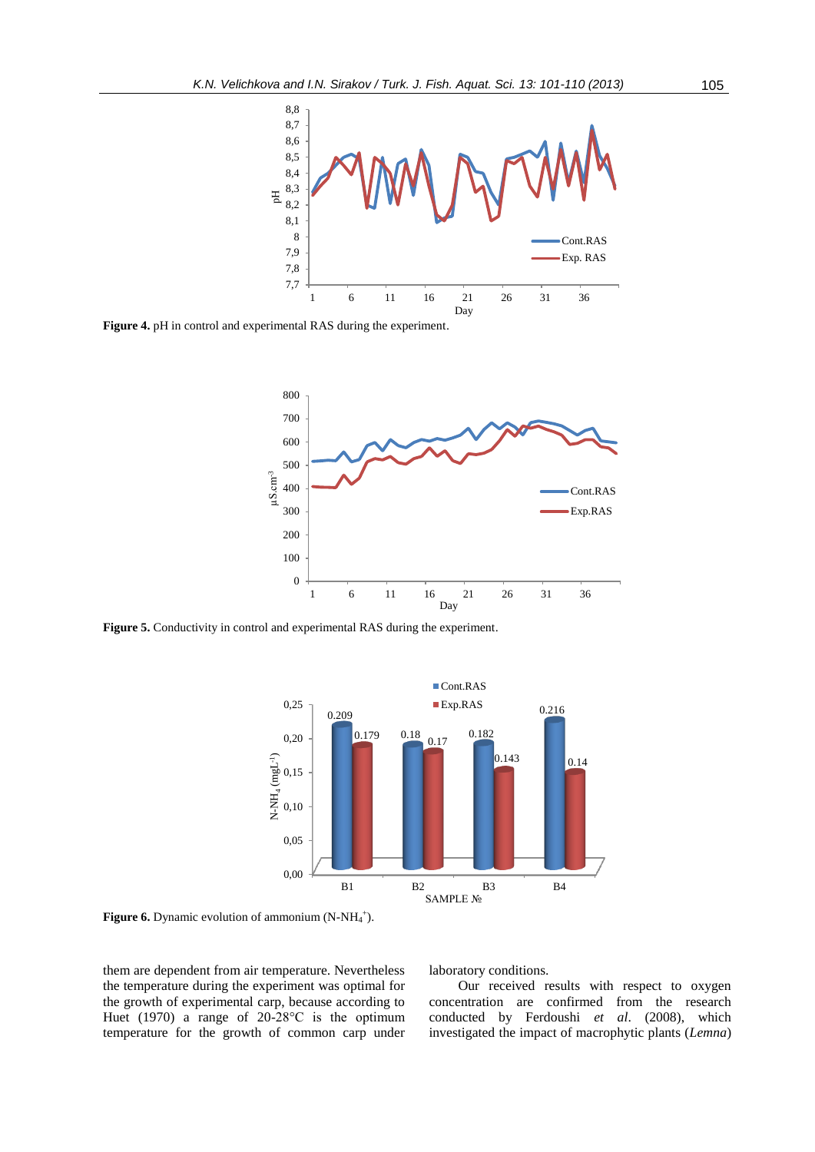

**Figure 4.** pH in control and experimental RAS during the experiment.



**Figure 5.** Conductivity in control and experimental RAS during the experiment.



**Figure 6.** Dynamic evolution of ammonium (N-NH<sub>4</sub><sup>+</sup>).

them are dependent from air temperature. Nevertheless the temperature during the experiment was optimal for the growth of experimental carp, because according to Huet (1970) a range of 20-28°C is the optimum temperature for the growth of common carp under laboratory conditions.

Our received results with respect to oxygen concentration are confirmed from the research conducted by Ferdoushi *et al*. (2008), which investigated the impact of macrophytic plants (*Lemna*)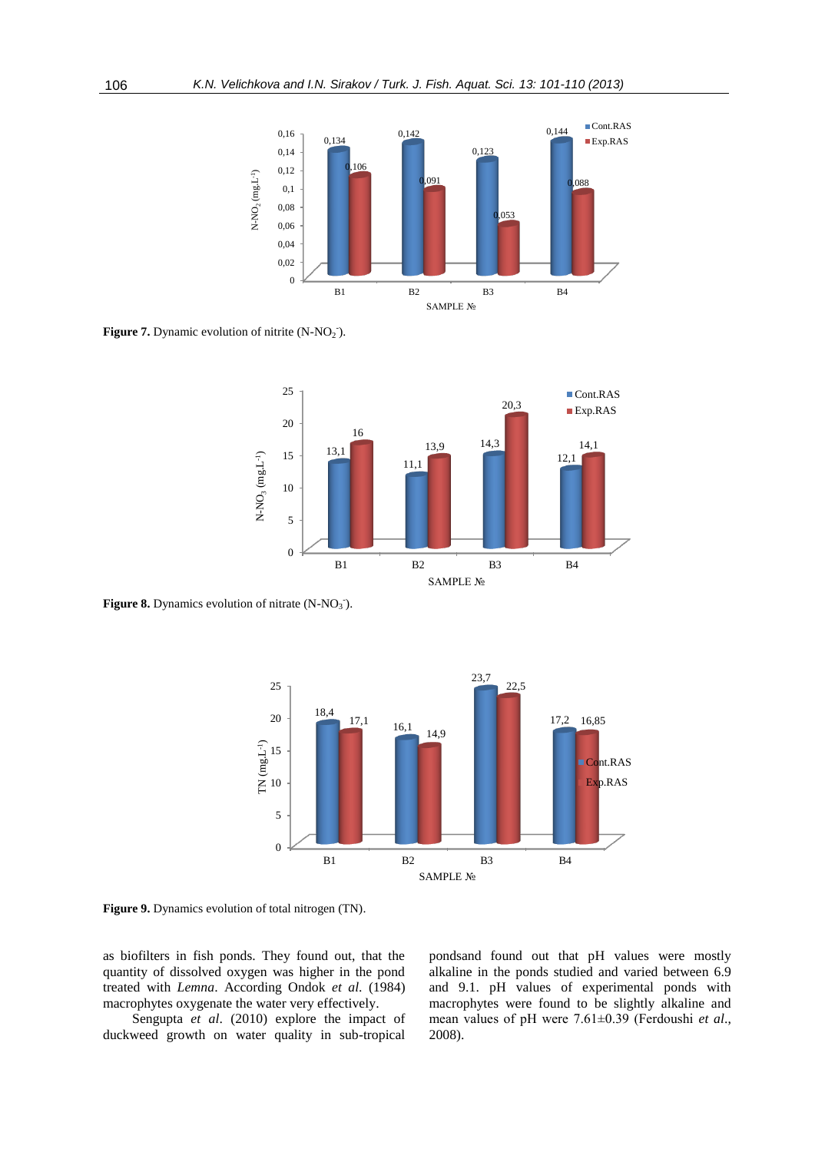

Figure 7. Dynamic evolution of nitrite (N-NO<sub>2</sub>).



**Figure 8.** Dynamics evolution of nitrate  $(N-NO<sub>3</sub>)$ .



**Figure 9.** Dynamics evolution of total nitrogen (TN).

as biofilters in fish ponds. They found out, that the quantity of dissolved oxygen was higher in the pond treated with *Lemna*. According Ondok *et al*. (1984) macrophytes oxygenate the water very effectively.

Sengupta *et al*. (2010) explore the impact of duckweed growth on water quality in sub-tropical pondsand found out that pH values were mostly alkaline in the ponds studied and varied between 6.9 and 9.1. pH values of experimental ponds with macrophytes were found to be slightly alkaline and mean values of pH were 7.61±0.39 (Ferdoushi *et al*., 2008).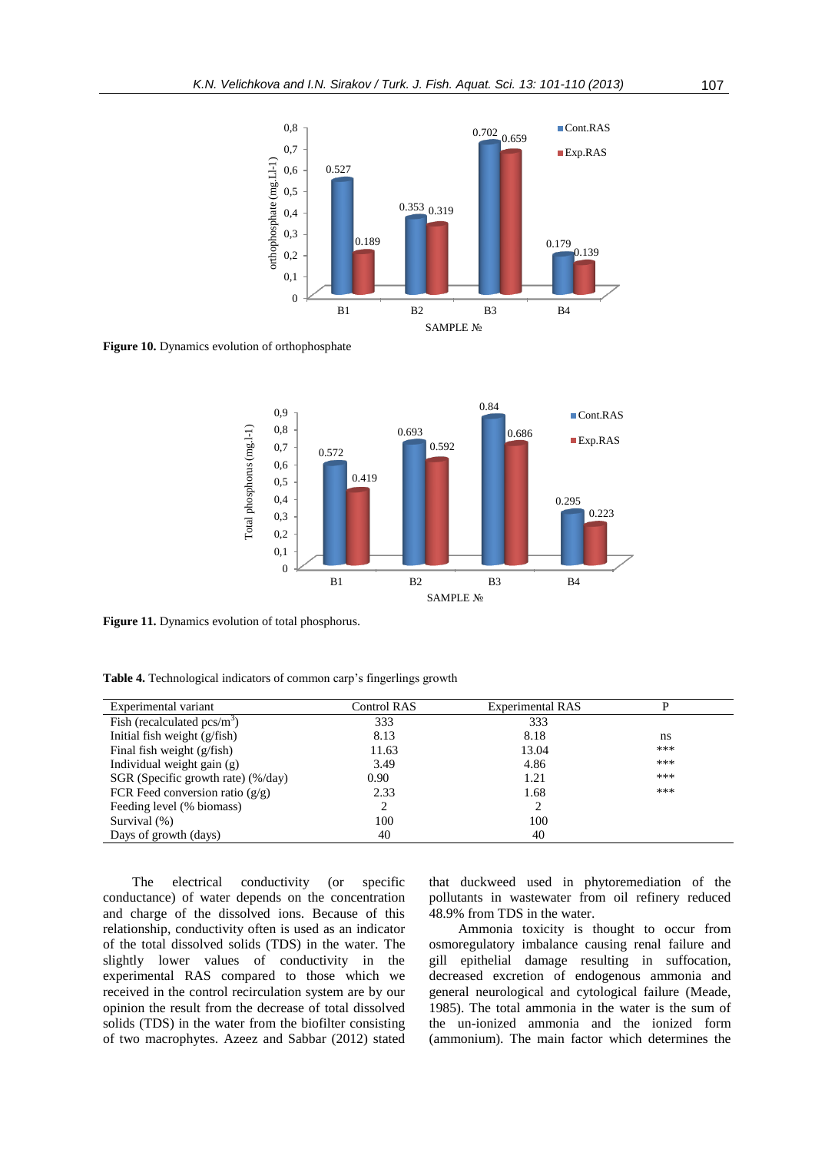

**Figure 10.** Dynamics evolution of orthophosphate



**Figure 11.** Dynamics evolution of total phosphorus.

**Table 4.** Technological indicators of common carp's fingerlings growth

| Experimental variant               | Control RAS | <b>Experimental RAS</b> | D   |
|------------------------------------|-------------|-------------------------|-----|
| Fish (recalculated $pcs/m3$ )      | 333         | 333                     |     |
| Initial fish weight (g/fish)       | 8.13        | 8.18                    | ns  |
| Final fish weight $(g/fish)$       | 11.63       | 13.04                   | *** |
| Individual weight gain $(g)$       | 3.49        | 4.86                    | *** |
| SGR (Specific growth rate) (%/day) | 0.90        | 1.21                    | *** |
| FCR Feed conversion ratio $(g/g)$  | 2.33        | 1.68                    | *** |
| Feeding level (% biomass)          | ◠           |                         |     |
| Survival (%)                       | 100         | 100                     |     |
| Days of growth (days)              | 40          | 40                      |     |

The electrical conductivity (or specific conductance) of water depends on the concentration and charge of the dissolved ions. Because of this relationship, conductivity often is used as an indicator of the total dissolved solids (TDS) in the water. The slightly lower values of conductivity in the experimental RAS compared to those which we received in the control recirculation system are by our opinion the result from the decrease of total dissolved solids (TDS) in the water from the biofilter consisting of two macrophytes. Azeez and Sabbar (2012) stated

that duckweed used in phytoremediation of the pollutants in wastewater from oil refinery reduced 48.9% from TDS in the water.

Ammonia toxicity is thought to occur from osmoregulatory imbalance causing renal failure and gill epithelial damage resulting in suffocation, decreased excretion of endogenous ammonia and general neurological and cytological failure (Meade, 1985). The total ammonia in the water is the sum of the un-ionized ammonia and the ionized form (ammonium). The main factor which determines the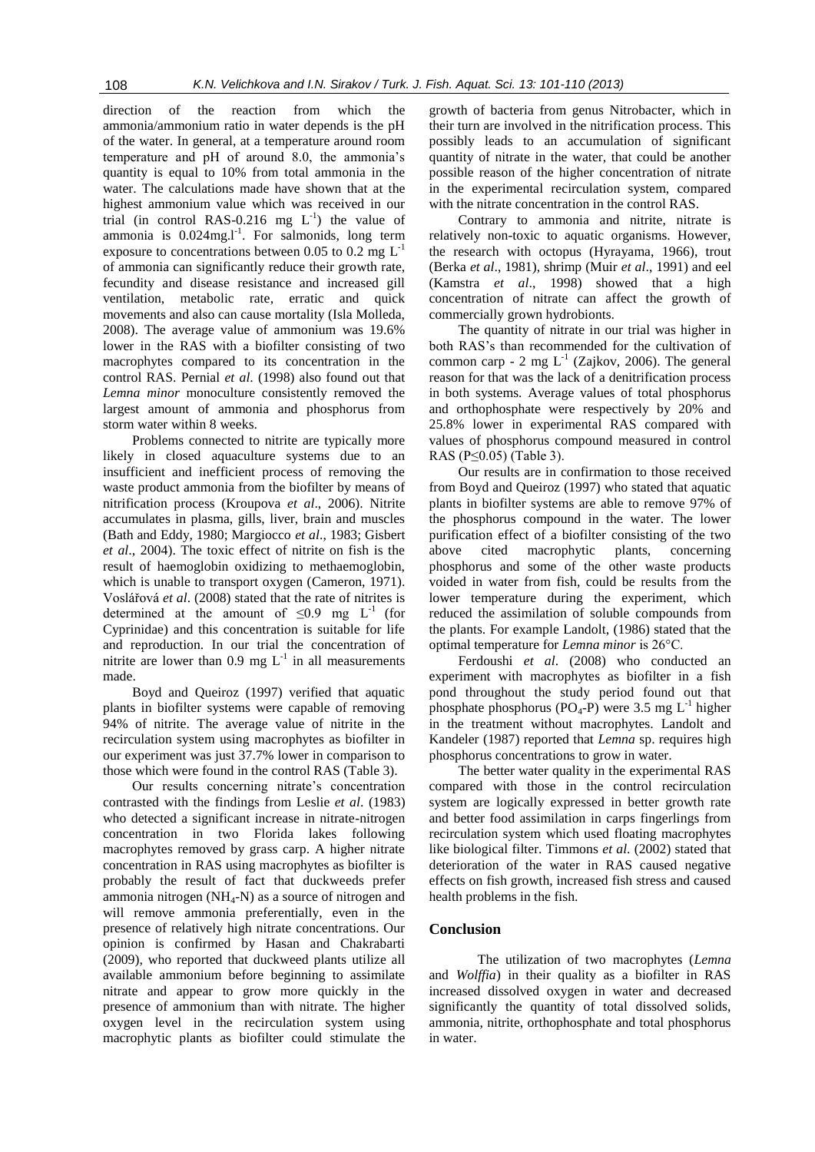direction of the reaction from which the ammonia/ammonium ratio in water depends is the pH of the water. In general, at a temperature around room temperature and pH of around 8.0, the ammonia's quantity is equal to 10% from total ammonia in the water. The calculations made have shown that at the highest ammonium value which was received in our trial (in control RAS-0.216 mg  $L^{-1}$ ) the value of ammonia is  $0.024$ mg.l<sup>-1</sup>. For salmonids, long term exposure to concentrations between 0.05 to 0.2 mg  $L^{-1}$ of ammonia can significantly reduce their growth rate, fecundity and disease resistance and increased gill ventilation, metabolic rate, erratic and quick movements and also can cause mortality (Isla Molleda, 2008). The average value of ammonium was 19.6% lower in the RAS with a biofilter consisting of two macrophytes compared to its concentration in the control RAS. Pernial *et al*. (1998) also found out that *Lemna minor* monoculture consistently removed the largest amount of ammonia and phosphorus from storm water within 8 weeks.

Problems connected to nitrite are typically more likely in closed aquaculture systems due to an insufficient and inefficient process of removing the waste product ammonia from the biofilter by means of nitrification process (Kroupova *et al*., 2006). Nitrite accumulates in plasma, gills, liver, brain and muscles (Bath and Eddy, 1980; Margiocco *et al*., 1983; Gisbert *et al*., 2004). The toxic effect of nitrite on fish is the result of haemoglobin oxidizing to methaemoglobin, which is unable to transport oxygen (Cameron, 1971). Voslářová *et al*. (2008) stated that the rate of nitrites is determined at the amount of  $\leq 0.9$  mg L<sup>-1</sup> (for Cyprinidae) and this concentration is suitable for life and reproduction. In our trial the concentration of nitrite are lower than 0.9 mg  $L^{-1}$  in all measurements made.

Boyd and Queiroz (1997) verified that aquatic plants in biofilter systems were capable of removing 94% of nitrite. The average value of nitrite in the recirculation system using macrophytes as biofilter in our experiment was just 37.7% lower in comparison to those which were found in the control RAS (Table 3).

Our results concerning nitrate's concentration contrasted with the findings from Leslie *et al*. (1983) who detected a significant increase in nitrate-nitrogen concentration in two Florida lakes following macrophytes removed by grass carp. A higher nitrate concentration in RAS using macrophytes as biofilter is probably the result of fact that duckweeds prefer ammonia nitrogen  $(NH_4-N)$  as a source of nitrogen and will remove ammonia preferentially, even in the presence of relatively high nitrate concentrations. Our opinion is confirmed by Hasan and Chakrabarti (2009), who reported that duckweed plants utilize all available ammonium before beginning to assimilate nitrate and appear to grow more quickly in the presence of ammonium than with nitrate. The higher oxygen level in the recirculation system using macrophytic plants as biofilter could stimulate the

growth of bacteria from genus Nitrobacter, which in their turn are involved in the nitrification process. This possibly leads to an accumulation of significant quantity of nitrate in the water, that could be another possible reason of the higher concentration of nitrate in the experimental recirculation system, compared with the nitrate concentration in the control RAS.

Contrary to ammonia and nitrite, nitrate is relatively non-toxic to aquatic organisms. However, the research with octopus (Hyrayama, 1966), trout (Berka *et al*., 1981), shrimp (Muir *et al*., 1991) and eel (Kamstra *et al*., 1998) showed that a high concentration of nitrate can affect the growth of commercially grown hydrobionts.

The quantity of nitrate in our trial was higher in both RAS's than recommended for the cultivation of common carp - 2 mg  $L^{-1}$  (Zajkov, 2006). The general reason for that was the lack of a denitrification process in both systems. Average values of total phosphorus and orthophosphate were respectively by 20% and 25.8% lower in experimental RAS compared with values of phosphorus compound measured in control RAS (P≤0.05) (Table 3).

Our results are in confirmation to those received from Boyd and Queiroz (1997) who stated that aquatic plants in biofilter systems are able to remove 97% of the phosphorus compound in the water. The lower purification effect of a biofilter consisting of the two above cited macrophytic plants, concerning phosphorus and some of the other waste products voided in water from fish, could be results from the lower temperature during the experiment, which reduced the assimilation of soluble compounds from the plants. For example Landolt, (1986) stated that the optimal temperature for *Lemna minor* is 26°C.

Ferdoushi *et al*. (2008) who conducted an experiment with macrophytes as biofilter in a fish pond throughout the study period found out that phosphate phosphorus (PO<sub>4</sub>-P) were 3.5 mg  $L^{-1}$  higher in the treatment without macrophytes. Landolt and Kandeler (1987) reported that *Lemna* sp. requires high phosphorus concentrations to grow in water.

The better water quality in the experimental RAS compared with those in the control recirculation system are logically expressed in better growth rate and better food assimilation in carps fingerlings from recirculation system which used floating macrophytes like biological filter. Timmons *et al*. (2002) stated that deterioration of the water in RAS caused negative effects on fish growth, increased fish stress and caused health problems in the fish.

# **Conclusion**

The utilization of two macrophytes (*Lemna* and *Wolffia*) in their quality as a biofilter in RAS increased dissolved oxygen in water and decreased significantly the quantity of total dissolved solids, ammonia, nitrite, orthophosphate and total phosphorus in water.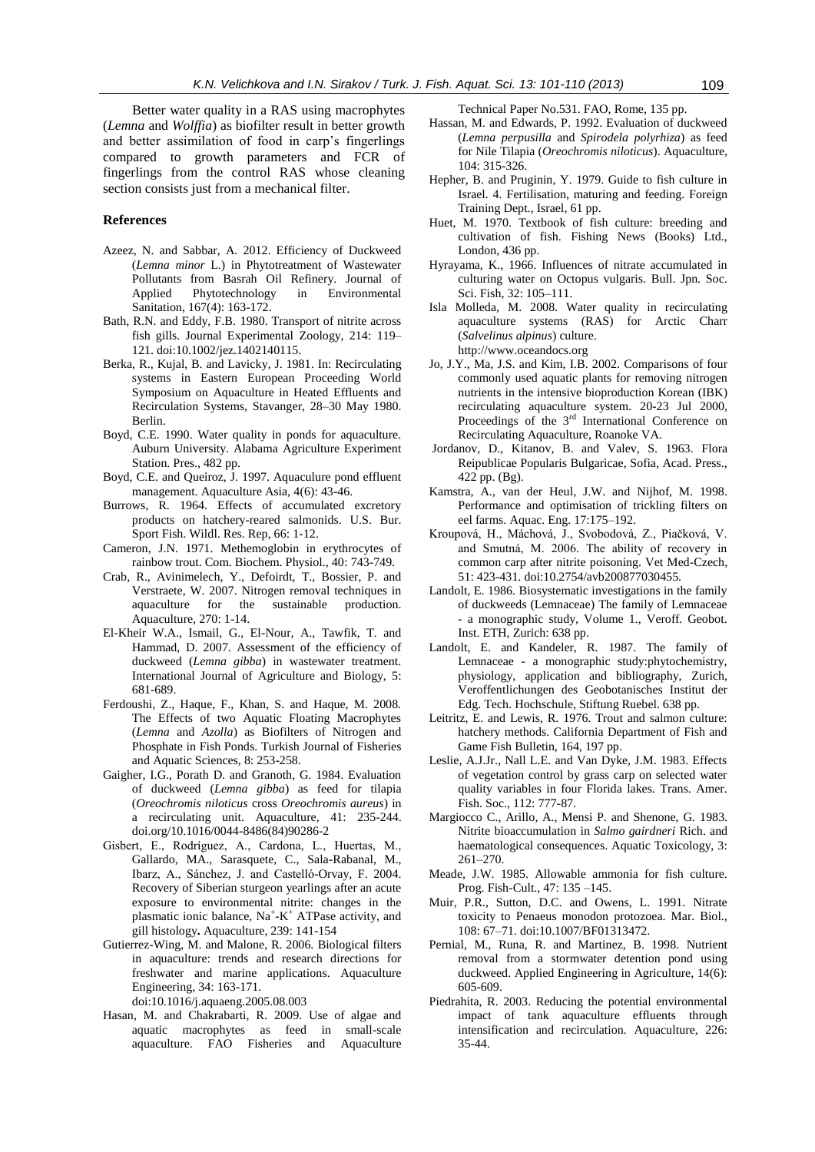Better water quality in a RAS using macrophytes (*Lemna* and *Wolffia*) as biofilter result in better growth and better assimilation of food in carp's fingerlings compared to growth parameters and FCR of fingerlings from the control RAS whose cleaning section consists just from a mechanical filter.

# **References**

- Azeez, N. and Sabbar, A. 2012. Efficiency of Duckweed (*Lemna minor* L.) in Phytotreatment of Wastewater Pollutants from Basrah Oil Refinery. Journal of Applied Phytotechnology Sanitation, 167(4): 163-172.
- Bath, R.N. and Eddy, F.B. 1980. Transport of nitrite across fish gills. Journal Experimental Zoology, 214: 119– 121. doi:10.1002/jez.1402140115.
- Berka, R., Kujal, B. and Lavicky, J. 1981. In: Recirculating systems in Eastern European Proceeding World Symposium on Aquaculture in Heated Effluents and Recirculation Systems, Stavanger, 28–30 May 1980. Berlin.
- Boyd, C.E. 1990. Water quality in ponds for aquaculture. Auburn University. Alabama Agriculture Experiment Station. Pres., 482 pp.
- Boyd, C.E. and Queiroz, J. 1997. Aquaculure pond effluent management. Aquaculture Asia, 4(6): 43-46.
- Burrows, R. 1964. Effects of accumulated excretory products on hatchery-reared salmonids. U.S. Bur. Sport Fish. Wildl. Res. Rep, 66: 1-12.
- Cameron, J.N. 1971. Methemoglobin in erythrocytes of rainbow trout. Com. Biochem. Physiol., 40: 743-749.
- Crab, R., Avinimelech, Y., Defoirdt, T., Bossier, P. and Verstraete, W. 2007. Nitrogen removal techniques in aquaculture for the sustainable production. Aquaculture, 270: 1-14.
- El-Kheir W.A., Ismail, G., El-Nour, A., Tawfik, T. and Hammad, D. 2007. Assessment of the efficiency of duckweed (*Lemna gibba*) in wastewater treatment. International Journal of Agriculture and Biology, 5: 681-689.
- Ferdoushi, Z., Haque, F., Khan, S. and Haque, M. 2008. The Effects of two Aquatic Floating Macrophytes (*Lemna* and *Azolla*) as Biofilters of Nitrogen and Phosphate in Fish Ponds. Turkish Journal of Fisheries and Aquatic Sciences, 8: 253-258.
- Gaigher, I.G., Porath D. and Granoth, G. 1984. Evaluation of duckweed (*Lemna gibba*) as feed for tilapia (*Oreochromis niloticus* cross *Oreochromis aureus*) in a recirculating unit. Aquaculture, 41: 235-244. [doi.org/10.1016/0044-8486\(84\)90286-2](http://dx.doi.org/10.1016/0044-8486(84)90286-2)
- Gisbert, E., Rodríguez, A., Cardona, L., Huertas, M., Gallardo, MA., Sarasquete, C., Sala-Rabanal, M., Ibarz, A., Sánchez, J. and Castelló-Orvay, F. 2004. Recovery of Siberian sturgeon yearlings after an acute exposure to environmental nitrite: changes in the plasmatic ionic balance, Na<sup>+</sup>-K<sup>+</sup> ATPase activity, and gill histology**.** Aquaculture, 239: 141-154
- Gutierrez-Wing, M. and Malone, R. 2006. Biological filters in aquaculture: trends and research directions for freshwater and marine applications. Aquaculture Engineering, 34: 163-171. doi:10.1016/j.aquaeng.2005.08.003
- Hasan, M. and Chakrabarti, R. 2009. Use of algae and aquatic macrophytes as feed in small-scale aquaculture. FAO Fisheries and Aquaculture

Technical Paper No.531. FAO, Rome, 135 pp.

- Hassan, M. and Edwards, P. 1992. Evaluation of duckweed (*Lemna perpusilla* and *Spirodela polyrhiza*) as feed for Nile Tilapia (*Oreochromis niloticus*). Aquaculture, 104: 315-326.
- Hepher, B. and Pruginin, Y. 1979. Guide to fish culture in Israel. 4*.* Fertilisation, maturing and feeding. Foreign Training Dept., Israel, 61 pp.
- Huet, M. 1970. Textbook of fish culture: breeding and cultivation of fish. Fishing News (Books) Ltd., London, 436 pp.
- Hyrayama, K., 1966. Influences of nitrate accumulated in culturing water on Octopus vulgaris. Bull. Jpn. Soc. Sci. Fish, 32: 105–111.
- Isla Molleda, M. 2008. Water quality in recirculating aquaculture systems (RAS) for Arctic Charr (*Salvelinus alpinus*) culture. http://www.oceandocs.org
- Jo, J.Y., Ma, J.S. and Kim, I.B. 2002. Comparisons of four commonly used aquatic plants for removing nitrogen nutrients in the intensive bioproduction Korean (IBK) recirculating aquaculture system. 20-23 Jul 2000, Proceedings of the 3<sup>rd</sup> International Conference on Recirculating Aquaculture, Roanoke VA.
- Jordanov, D., Kitanov, B. and Valev, S. 1963. Flora Reipublicae Popularis Bulgaricae, Sofia, Acad. Press., 422 pp. (Bg).
- Kamstra, A., van der Heul, J.W. and Nijhof, M. 1998. Performance and optimisation of trickling filters on eel farms. Aquac. Eng. 17:175–192.
- Kroupová, H., Máchová, J., Svobodová, Z., Piačková, V. and Smutná, M. 2006. The ability of recovery in common carp after nitrite poisoning. Vet Med-Czech, 51: 423-431. doi:10.2754/avb200877030455.
- Landolt, E. 1986. Biosystematic investigations in the family of duckweeds (Lemnaceae) The family of Lemnaceae - a monographic study, Volume 1., Veroff. Geobot. Inst. ETH, Zurich: 638 pp.
- Landolt, E. and Kandeler, R. 1987. The family of Lemnaceae - a monographic study:phytochemistry, physiology, application and bibliography, Zurich, Veroffentlichungen des Geobotanisches Institut der Edg. Tech. Hochschule, Stiftung Ruebel. 638 pp.
- Leitritz, E. and Lewis, R. 1976. Trout and salmon culture: hatchery methods. California Department of Fish and Game Fish Bulletin, 164, 197 pp.
- Leslie, A.J.Jr., Nall L.E. and Van Dyke, J.M. 1983. Effects of vegetation control by grass carp on selected water quality variables in four Florida lakes. Trans. Amer. Fish. Soc., 112: 777-87.
- Margiocco C., Arillo, A., Mensi P. and Shenone, G. 1983. Nitrite bioaccumulation in *Salmo gairdneri* Rich. and haematological consequences. Aquatic Toxicology, 3: 261–270.
- Meade, J.W. 1985. Allowable ammonia for fish culture. Prog. Fish-Cult., 47: 135 –145.
- Muir, P.R., Sutton, D.C. and Owens, L. 1991. Nitrate toxicity to Penaeus monodon protozoea. Mar. Biol., 108: 67–71. doi:10.1007/BF01313472.
- Pernial, M., Runa, R. and Martinez, B. 1998. Nutrient removal from a stormwater detention pond using duckweed. Applied Engineering in Agriculture, 14(6): 605-609.
- Piedrahita, R. 2003. Reducing the potential environmental impact of tank aquaculture effluents through intensification and recirculation. Aquaculture, 226: 35-44.